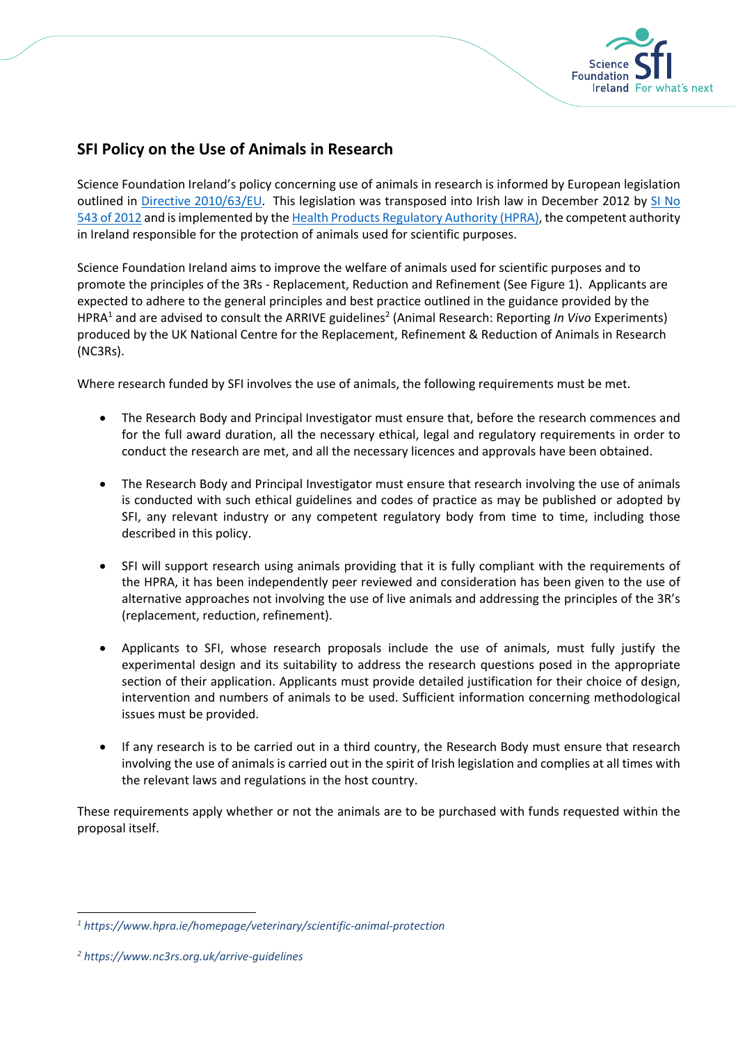

## **SFI Policy on the Use of Animals in Research**

Science Foundation Ireland's policy concerning use of animals in research is informed by European legislation outlined in Directive 2010/63/EU. This legislation was transposed into Irish law in December 2012 by SI No 543 of 2012 and isimplemented by the Health Products Regulatory Authority (HPRA), the competent authority in Ireland responsible for the protection of animals used for scientific purposes.

Science Foundation Ireland aims to improve the welfare of animals used for scientific purposes and to promote the principles of the 3Rs ‐ Replacement, Reduction and Refinement (See Figure 1). Applicants are expected to adhere to the general principles and best practice outlined in the guidance provided by the HPRA<sup>1</sup> and are advised to consult the ARRIVE guidelines<sup>2</sup> (Animal Research: Reporting *In Vivo* Experiments) produced by the UK National Centre for the Replacement, Refinement & Reduction of Animals in Research (NC3Rs).

Where research funded by SFI involves the use of animals, the following requirements must be met.

- The Research Body and Principal Investigator must ensure that, before the research commences and for the full award duration, all the necessary ethical, legal and regulatory requirements in order to conduct the research are met, and all the necessary licences and approvals have been obtained.
- The Research Body and Principal Investigator must ensure that research involving the use of animals is conducted with such ethical guidelines and codes of practice as may be published or adopted by SFI, any relevant industry or any competent regulatory body from time to time, including those described in this policy.
- SFI will support research using animals providing that it is fully compliant with the requirements of the HPRA, it has been independently peer reviewed and consideration has been given to the use of alternative approaches not involving the use of live animals and addressing the principles of the 3R's (replacement, reduction, refinement).
- Applicants to SFI, whose research proposals include the use of animals, must fully justify the experimental design and its suitability to address the research questions posed in the appropriate section of their application. Applicants must provide detailed justification for their choice of design, intervention and numbers of animals to be used. Sufficient information concerning methodological issues must be provided.
- If any research is to be carried out in a third country, the Research Body must ensure that research involving the use of animals is carried out in the spirit of Irish legislation and complies at all times with the relevant laws and regulations in the host country.

These requirements apply whether or not the animals are to be purchased with funds requested within the proposal itself.

*<sup>1</sup> https://www.hpra.ie/homepage/veterinary/scientific‐animal‐protection*

*<sup>2</sup> https://www.nc3rs.org.uk/arrive‐guidelines*